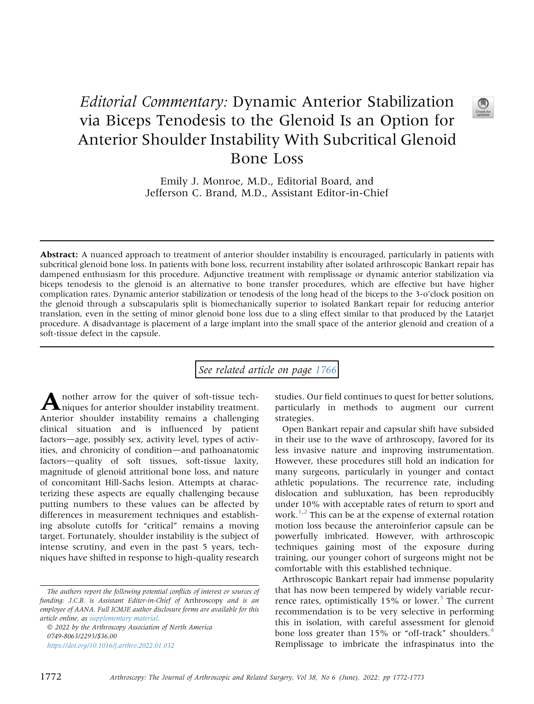## Editorial Commentary: Dynamic Anterior Stabilization via Biceps Tenodesis to the Glenoid Is an Option for Anterior Shoulder Instability With Subcritical Glenoid Bone Loss

Emily J. Monroe, M.D., Editorial Board, and Jefferson C. Brand, M.D., Assistant Editor-in-Chief

Abstract: A nuanced approach to treatment of anterior shoulder instability is encouraged, particularly in patients with subcritical glenoid bone loss. In patients with bone loss, recurrent instability after isolated arthroscopic Bankart repair has dampened enthusiasm for this procedure. Adjunctive treatment with remplissage or dynamic anterior stabilization via biceps tenodesis to the glenoid is an alternative to bone transfer procedures, which are effective but have higher complication rates. Dynamic anterior stabilization or tenodesis of the long head of the biceps to the 3-o'clock position on the glenoid through a subscapularis split is biomechanically superior to isolated Bankart repair for reducing anterior translation, even in the setting of minor glenoid bone loss due to a sling effect similar to that produced by the Latarjet procedure. A disadvantage is placement of a large implant into the small space of the anterior glenoid and creation of a soft-tissue defect in the capsule.

## See related article on page [1766](http://www.arthroscopyjournal.org/article/S0749-8063(21)01061-6/abstract)

Another arrow for the quiver of soft-tissue tech-niques for anterior shoulder instability treatment. Anterior shoulder instability remains a challenging clinical situation and is influenced by patient factors—age, possibly sex, activity level, types of activities, and chronicity of condition-and pathoanatomic factors-quality of soft tissues, soft-tissue laxity, magnitude of glenoid attritional bone loss, and nature of concomitant Hill-Sachs lesion. Attempts at characterizing these aspects are equally challenging because putting numbers to these values can be affected by differences in measurement techniques and establishing absolute cutoffs for "critical" remains a moving target. Fortunately, shoulder instability is the subject of intense scrutiny, and even in the past 5 years, techniques have shifted in response to high-quality research

The authors report the following potential conflicts of interest or sources of funding: J.C.B. is Assistant Editor-in-Chief of Arthroscopy and is an employee of AANA. Full ICMJE author disclosure forms are available for this article online, as supplementary material.

 2022 by the Arthroscopy Association of North America 0749-8063/2293/\$36.00 <https://doi.org/10.1016/j.arthro.2022.01.032>

studies. Our field continues to quest for better solutions, particularly in methods to augment our current strategies.

Open Bankart repair and capsular shift have subsided in their use to the wave of arthroscopy, favored for its less invasive nature and improving instrumentation. However, these procedures still hold an indication for many surgeons, particularly in younger and contact athletic populations. The recurrence rate, including dislocation and subluxation, has been reproducibly under 10% with acceptable rates of return to sport and work. $1/2$  $1/2$  This can be at the expense of external rotation motion loss because the anteroinferior capsule can be powerfully imbricated. However, with arthroscopic techniques gaining most of the exposure during training, our younger cohort of surgeons might not be comfortable with this established technique.

Arthroscopic Bankart repair had immense popularity that has now been tempered by widely variable recurrence rates, optimistically  $15\%$  or lower.<sup>[3](#page-1-2)</sup> The current recommendation is to be very selective in performing this in isolation, with careful assessment for glenoid bone loss greater than 15% or "off-track" shoulders.<sup>[4](#page-1-3)</sup> Remplissage to imbricate the infraspinatus into the